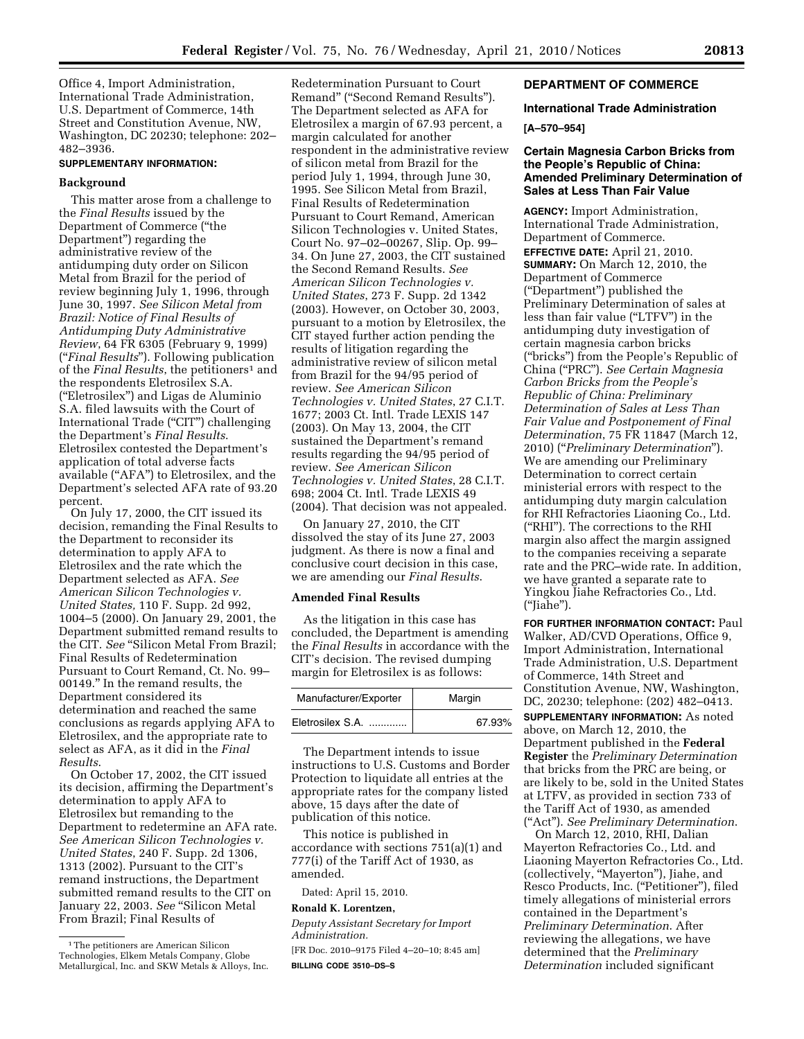Office 4, Import Administration, International Trade Administration, U.S. Department of Commerce, 14th Street and Constitution Avenue, NW, Washington, DC 20230; telephone: 202– 482–3936.

#### **SUPPLEMENTARY INFORMATION:**

#### **Background**

This matter arose from a challenge to the *Final Results* issued by the Department of Commerce (''the Department'') regarding the administrative review of the antidumping duty order on Silicon Metal from Brazil for the period of review beginning July 1, 1996, through June 30, 1997. *See Silicon Metal from Brazil: Notice of Final Results of Antidumping Duty Administrative Review*, 64 FR 6305 (February 9, 1999) (''*Final Results*''). Following publication of the *Final Results*, the petitioners<sup>1</sup> and the respondents Eletrosilex S.A. (''Eletrosilex'') and Ligas de Aluminio S.A. filed lawsuits with the Court of International Trade (''CIT'') challenging the Department's *Final Results*. Eletrosilex contested the Department's application of total adverse facts available (''AFA'') to Eletrosilex, and the Department's selected AFA rate of 93.20 percent.

On July 17, 2000, the CIT issued its decision, remanding the Final Results to the Department to reconsider its determination to apply AFA to Eletrosilex and the rate which the Department selected as AFA. *See American Silicon Technologies v. United States,* 110 F. Supp. 2d 992, 1004–5 (2000). On January 29, 2001, the Department submitted remand results to the CIT. *See* "Silicon Metal From Brazil: Final Results of Redetermination Pursuant to Court Remand, Ct. No. 99– 00149.'' In the remand results, the Department considered its determination and reached the same conclusions as regards applying AFA to Eletrosilex, and the appropriate rate to select as AFA, as it did in the *Final Results*.

On October 17, 2002, the CIT issued its decision, affirming the Department's determination to apply AFA to Eletrosilex but remanding to the Department to redetermine an AFA rate. *See American Silicon Technologies v. United States*, 240 F. Supp. 2d 1306, 1313 (2002). Pursuant to the CIT's remand instructions, the Department submitted remand results to the CIT on January 22, 2003. *See* "Silicon Metal From Brazil; Final Results of

Redetermination Pursuant to Court Remand'' (''Second Remand Results''). The Department selected as AFA for Eletrosilex a margin of 67.93 percent, a margin calculated for another respondent in the administrative review of silicon metal from Brazil for the period July 1, 1994, through June 30, 1995. See Silicon Metal from Brazil, Final Results of Redetermination Pursuant to Court Remand, American Silicon Technologies v. United States, Court No. 97–02–00267, Slip. Op. 99– 34. On June 27, 2003, the CIT sustained the Second Remand Results. *See American Silicon Technologies v. United States*, 273 F. Supp. 2d 1342 (2003). However, on October 30, 2003, pursuant to a motion by Eletrosilex, the CIT stayed further action pending the results of litigation regarding the administrative review of silicon metal from Brazil for the 94/95 period of review. *See American Silicon Technologies v. United States*, 27 C.I.T. 1677; 2003 Ct. Intl. Trade LEXIS 147 (2003). On May 13, 2004, the CIT sustained the Department's remand results regarding the 94/95 period of review. *See American Silicon Technologies v. United States*, 28 C.I.T. 698; 2004 Ct. Intl. Trade LEXIS 49 (2004). That decision was not appealed.

On January 27, 2010, the CIT dissolved the stay of its June 27, 2003 judgment. As there is now a final and conclusive court decision in this case, we are amending our *Final Results*.

## **Amended Final Results**

As the litigation in this case has concluded, the Department is amending the *Final Results* in accordance with the CIT's decision. The revised dumping margin for Eletrosilex is as follows:

| Manufacturer/Exporter | Margin |  |
|-----------------------|--------|--|
| Eletrosilex S.A.      | 67.93% |  |

The Department intends to issue instructions to U.S. Customs and Border Protection to liquidate all entries at the appropriate rates for the company listed above, 15 days after the date of publication of this notice.

This notice is published in accordance with sections 751(a)(1) and 777(i) of the Tariff Act of 1930, as amended.

Dated: April 15, 2010.

**Ronald K. Lorentzen,** 

*Deputy Assistant Secretary for Import Administration.* 

[FR Doc. 2010–9175 Filed 4–20–10; 8:45 am] **BILLING CODE 3510–DS–S** 

## **DEPARTMENT OF COMMERCE**

### **International Trade Administration**

### **[A–570–954]**

## **Certain Magnesia Carbon Bricks from the People's Republic of China: Amended Preliminary Determination of Sales at Less Than Fair Value**

**AGENCY:** Import Administration, International Trade Administration, Department of Commerce.

**EFFECTIVE DATE:** April 21, 2010. **SUMMARY:** On March 12, 2010, the Department of Commerce (''Department'') published the Preliminary Determination of sales at less than fair value (''LTFV'') in the antidumping duty investigation of certain magnesia carbon bricks (''bricks'') from the People's Republic of China (''PRC''). *See Certain Magnesia Carbon Bricks from the People's Republic of China: Preliminary Determination of Sales at Less Than Fair Value and Postponement of Final Determination*, 75 FR 11847 (March 12, 2010) (''*Preliminary Determination*''). We are amending our Preliminary Determination to correct certain ministerial errors with respect to the antidumping duty margin calculation for RHI Refractories Liaoning Co., Ltd. (''RHI''). The corrections to the RHI margin also affect the margin assigned to the companies receiving a separate rate and the PRC–wide rate. In addition, we have granted a separate rate to Yingkou Jiahe Refractories Co., Ltd. (''Jiahe'').

**FOR FURTHER INFORMATION CONTACT:** Paul Walker, AD/CVD Operations, Office 9, Import Administration, International Trade Administration, U.S. Department of Commerce, 14th Street and Constitution Avenue, NW, Washington, DC, 20230; telephone: (202) 482–0413.

**SUPPLEMENTARY INFORMATION:** As noted above, on March 12, 2010, the Department published in the **Federal Register** the *Preliminary Determination*  that bricks from the PRC are being, or are likely to be, sold in the United States at LTFV, as provided in section 733 of the Tariff Act of 1930, as amended (''Act''). *See Preliminary Determination*.

On March 12, 2010, RHI, Dalian Mayerton Refractories Co., Ltd. and Liaoning Mayerton Refractories Co., Ltd. (collectively, ''Mayerton''), Jiahe, and Resco Products, Inc. (''Petitioner''), filed timely allegations of ministerial errors contained in the Department's *Preliminary Determination*. After reviewing the allegations, we have determined that the *Preliminary Determination* included significant

<sup>1</sup>The petitioners are American Silicon Technologies, Elkem Metals Company, Globe Metallurgical, Inc. and SKW Metals & Alloys, Inc.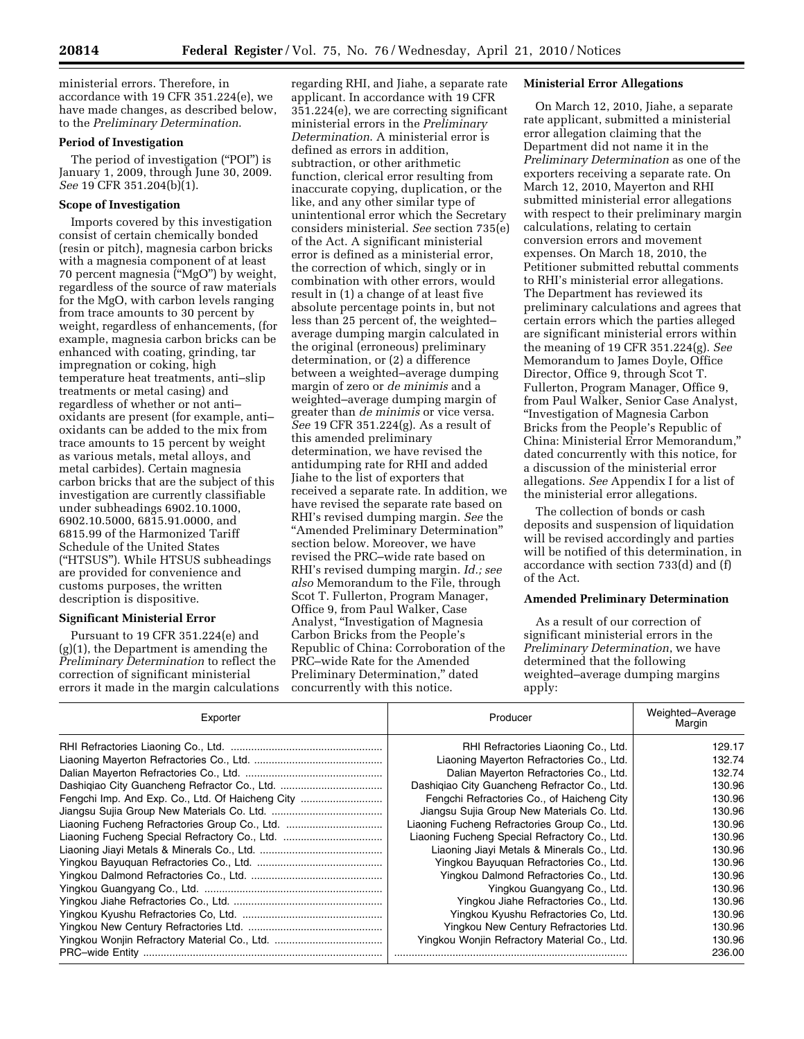ministerial errors. Therefore, in accordance with 19 CFR 351.224(e), we have made changes, as described below, to the *Preliminary Determination*.

### **Period of Investigation**

The period of investigation (''POI'') is January 1, 2009, through June 30, 2009. *See* 19 CFR 351.204(b)(1).

## **Scope of Investigation**

Imports covered by this investigation consist of certain chemically bonded (resin or pitch), magnesia carbon bricks with a magnesia component of at least 70 percent magnesia (''MgO'') by weight, regardless of the source of raw materials for the MgO, with carbon levels ranging from trace amounts to 30 percent by weight, regardless of enhancements, (for example, magnesia carbon bricks can be enhanced with coating, grinding, tar impregnation or coking, high temperature heat treatments, anti–slip treatments or metal casing) and regardless of whether or not anti– oxidants are present (for example, anti– oxidants can be added to the mix from trace amounts to 15 percent by weight as various metals, metal alloys, and metal carbides). Certain magnesia carbon bricks that are the subject of this investigation are currently classifiable under subheadings 6902.10.1000, 6902.10.5000, 6815.91.0000, and 6815.99 of the Harmonized Tariff Schedule of the United States (''HTSUS''). While HTSUS subheadings are provided for convenience and customs purposes, the written description is dispositive.

#### **Significant Ministerial Error**

Pursuant to 19 CFR 351.224(e) and (g)(1), the Department is amending the *Preliminary Determination* to reflect the correction of significant ministerial errors it made in the margin calculations

regarding RHI, and Jiahe, a separate rate applicant. In accordance with 19 CFR 351.224(e), we are correcting significant ministerial errors in the *Preliminary Determination*. A ministerial error is defined as errors in addition, subtraction, or other arithmetic function, clerical error resulting from inaccurate copying, duplication, or the like, and any other similar type of unintentional error which the Secretary considers ministerial. *See* section 735(e) of the Act. A significant ministerial error is defined as a ministerial error, the correction of which, singly or in combination with other errors, would result in (1) a change of at least five absolute percentage points in, but not less than 25 percent of, the weighted– average dumping margin calculated in the original (erroneous) preliminary determination, or (2) a difference between a weighted–average dumping margin of zero or *de minimis* and a weighted–average dumping margin of greater than *de minimis* or vice versa. *See* 19 CFR 351.224(g). As a result of this amended preliminary determination, we have revised the antidumping rate for RHI and added Jiahe to the list of exporters that received a separate rate. In addition, we have revised the separate rate based on RHI's revised dumping margin. *See* the ''Amended Preliminary Determination'' section below. Moreover, we have revised the PRC–wide rate based on RHI's revised dumping margin. *Id.; see also* Memorandum to the File, through Scot T. Fullerton, Program Manager, Office 9, from Paul Walker, Case Analyst, ''Investigation of Magnesia Carbon Bricks from the People's Republic of China: Corroboration of the PRC–wide Rate for the Amended Preliminary Determination,'' dated concurrently with this notice.

## **Ministerial Error Allegations**

On March 12, 2010, Jiahe, a separate rate applicant, submitted a ministerial error allegation claiming that the Department did not name it in the *Preliminary Determination* as one of the exporters receiving a separate rate. On March 12, 2010, Mayerton and RHI submitted ministerial error allegations with respect to their preliminary margin calculations, relating to certain conversion errors and movement expenses. On March 18, 2010, the Petitioner submitted rebuttal comments to RHI's ministerial error allegations. The Department has reviewed its preliminary calculations and agrees that certain errors which the parties alleged are significant ministerial errors within the meaning of 19 CFR 351.224(g). *See*  Memorandum to James Doyle, Office Director, Office 9, through Scot T. Fullerton, Program Manager, Office 9, from Paul Walker, Senior Case Analyst, ''Investigation of Magnesia Carbon Bricks from the People's Republic of China: Ministerial Error Memorandum,'' dated concurrently with this notice, for a discussion of the ministerial error allegations. *See* Appendix I for a list of the ministerial error allegations.

The collection of bonds or cash deposits and suspension of liquidation will be revised accordingly and parties will be notified of this determination, in accordance with section 733(d) and (f) of the Act.

# **Amended Preliminary Determination**

As a result of our correction of significant ministerial errors in the *Preliminary Determination*, we have determined that the following weighted–average dumping margins apply:

| Exporter                                         | Producer                                      | Weighted-Average<br>Margin |
|--------------------------------------------------|-----------------------------------------------|----------------------------|
|                                                  | RHI Refractories Liaoning Co., Ltd.           | 129.17                     |
|                                                  | Liaoning Mayerton Refractories Co., Ltd.      | 132.74                     |
|                                                  | Dalian Mayerton Refractories Co., Ltd.        | 132.74                     |
|                                                  | Dashiqiao City Guancheng Refractor Co., Ltd.  | 130.96                     |
| Fengchi Imp. And Exp. Co., Ltd. Of Haicheng City | Fengchi Refractories Co., of Haicheng City    | 130.96                     |
|                                                  | Jiangsu Sujia Group New Materials Co. Ltd.    | 130.96                     |
|                                                  | Liaoning Fucheng Refractories Group Co., Ltd. | 130.96                     |
|                                                  | Liaoning Fucheng Special Refractory Co., Ltd. | 130.96                     |
|                                                  | Liaoning Jiayi Metals & Minerals Co., Ltd.    | 130.96                     |
|                                                  | Yingkou Bayuguan Refractories Co., Ltd.       | 130.96                     |
|                                                  | Yingkou Dalmond Refractories Co., Ltd.        | 130.96                     |
|                                                  | Yingkou Guangyang Co., Ltd.                   | 130.96                     |
|                                                  | Yingkou Jiahe Refractories Co., Ltd.          | 130.96                     |
|                                                  | Yingkou Kyushu Refractories Co, Ltd.          | 130.96                     |
|                                                  | Yingkou New Century Refractories Ltd.         | 130.96                     |
|                                                  | Yingkou Wonjin Refractory Material Co., Ltd.  | 130.96                     |
|                                                  |                                               | 236.00                     |